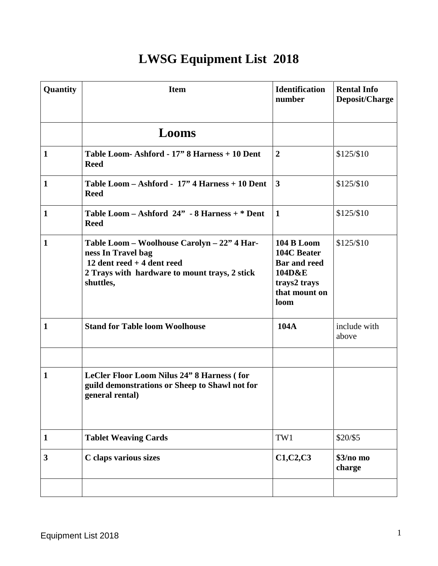## **LWSG Equipment List 2018**

| Quantity     | <b>Item</b>                                                                                                                                                    | <b>Identification</b><br>number                                                                            | <b>Rental Info</b><br>Deposit/Charge |
|--------------|----------------------------------------------------------------------------------------------------------------------------------------------------------------|------------------------------------------------------------------------------------------------------------|--------------------------------------|
|              | Looms                                                                                                                                                          |                                                                                                            |                                      |
| $\mathbf{1}$ | Table Loom-Ashford - 17" 8 Harness + 10 Dent<br><b>Reed</b>                                                                                                    | $\boldsymbol{2}$                                                                                           | \$125/\$10                           |
| $\mathbf{1}$ | Table Loom - Ashford - 17" 4 Harness + 10 Dent<br><b>Reed</b>                                                                                                  | $\mathbf{3}$                                                                                               | \$125/\$10                           |
| $\mathbf{1}$ | Table Loom - Ashford $24$ " - 8 Harness + $*$ Dent<br><b>Reed</b>                                                                                              | $\mathbf{1}$                                                                                               | \$125/\$10                           |
| $\mathbf{1}$ | Table Loom - Woolhouse Carolyn - 22" 4 Har-<br>ness In Travel bag<br>12 dent reed $+4$ dent reed<br>2 Trays with hardware to mount trays, 2 stick<br>shuttles, | <b>104 B Loom</b><br>104C Beater<br><b>Bar and reed</b><br>104D&E<br>trays2 trays<br>that mount on<br>loom | \$125/\$10                           |
| $\mathbf{1}$ | <b>Stand for Table loom Woolhouse</b>                                                                                                                          | 104A                                                                                                       | include with<br>above                |
| $\mathbf{1}$ | LeCler Floor Loom Nilus 24" 8 Harness (for<br>guild demonstrations or Sheep to Shawl not for<br>general rental)                                                |                                                                                                            |                                      |
| $\mathbf{1}$ | <b>Tablet Weaving Cards</b>                                                                                                                                    | TW1                                                                                                        | \$20/\$5                             |
| 3            | C claps various sizes                                                                                                                                          | C1, C2, C3                                                                                                 | $$3/no$ mo<br>charge                 |
|              |                                                                                                                                                                |                                                                                                            |                                      |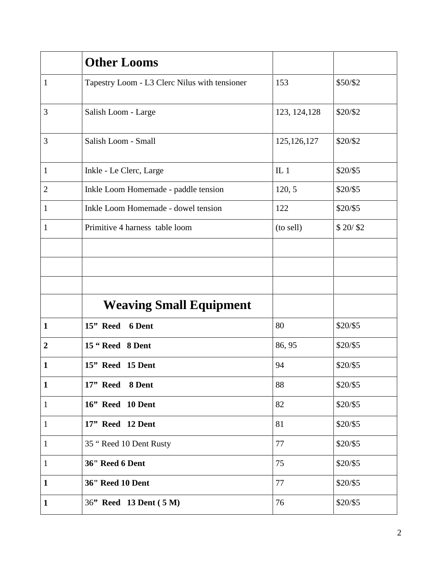|                | <b>Other Looms</b>                            |                 |           |
|----------------|-----------------------------------------------|-----------------|-----------|
| $\mathbf{1}$   | Tapestry Loom - L3 Clerc Nilus with tensioner | 153             | \$50/\$2  |
| 3              | Salish Loom - Large                           | 123, 124, 128   | \$20/\$2  |
| 3              | Salish Loom - Small                           | 125, 126, 127   | \$20/\$2  |
| $\mathbf{1}$   | Inkle - Le Clerc, Large                       | IL <sub>1</sub> | \$20/\$5  |
| $\overline{2}$ | Inkle Loom Homemade - paddle tension          | 120, 5          | \$20/\$5  |
| 1              | Inkle Loom Homemade - dowel tension           | 122             | \$20/\$5  |
| 1              | Primitive 4 harness table loom                | (to sell)       | \$20/ \$2 |
|                |                                               |                 |           |
|                |                                               |                 |           |
|                |                                               |                 |           |
|                | <b>Weaving Small Equipment</b>                |                 |           |
| $\mathbf{1}$   | 15" Reed 6 Dent                               | 80              | \$20/\$5  |
| $\overline{2}$ | 15 "Reed 8 Dent                               | 86, 95          | \$20/\$5  |
| 1              | 15" Reed 15 Dent                              | 94              | \$20/\$5  |
| $\mathbf{1}$   | 17" Reed 8 Dent                               | 88              | \$20/\$5  |
| $\mathbf{1}$   | 16" Reed 10 Dent                              | 82              | \$20/\$5  |
| $\mathbf{1}$   | 17" Reed 12 Dent                              | 81              | \$20/\$5  |
| $\mathbf{1}$   | 35 "Reed 10 Dent Rusty                        | 77              | \$20/\$5  |
| $\mathbf{1}$   | 36" Reed 6 Dent                               | 75              | \$20/\$5  |
| $\mathbf{1}$   | 36" Reed 10 Dent                              | 77              | \$20/\$5  |
| $\mathbf{1}$   | 36" Reed 13 Dent (5 M)                        | 76              | \$20/\$5  |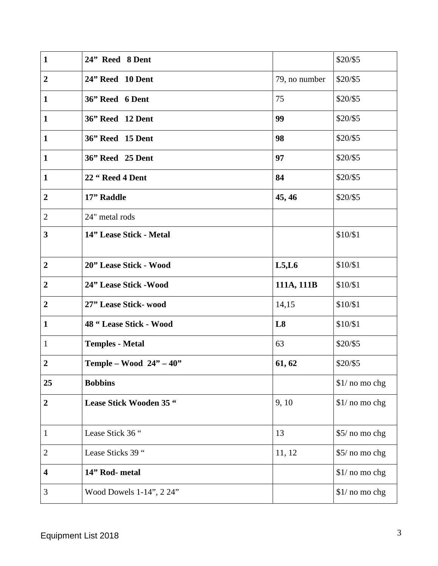| $\mathbf{1}$            | 24" Reed 8 Dent             |               | \$20/\$5        |
|-------------------------|-----------------------------|---------------|-----------------|
| $\overline{2}$          | 24" Reed 10 Dent            | 79, no number | \$20/\$5        |
| $\mathbf{1}$            | 36" Reed 6 Dent             | 75            | \$20/\$5        |
| $\mathbf{1}$            | 36" Reed 12 Dent            | 99            | \$20/\$5        |
| $\mathbf{1}$            | 36" Reed 15 Dent            | 98            | \$20/\$5        |
| $\mathbf{1}$            | 36" Reed 25 Dent            | 97            | \$20/\$5        |
| $\mathbf{1}$            | 22 "Reed 4 Dent             | 84            | \$20/\$5        |
| $\boldsymbol{2}$        | 17" Raddle                  | 45, 46        | \$20/\$5        |
| $\overline{2}$          | 24" metal rods              |               |                 |
| $\overline{\mathbf{3}}$ | 14" Lease Stick - Metal     |               | \$10/\$1        |
| $\overline{2}$          | 20" Lease Stick - Wood      | L5, L6        | \$10/\$1        |
| $\boldsymbol{2}$        | 24" Lease Stick - Wood      | 111A, 111B    | \$10/\$1        |
| $\boldsymbol{2}$        | 27" Lease Stick- wood       | 14,15         | \$10/\$1        |
| $\mathbf{1}$            | 48 "Lease Stick - Wood      | L8            | \$10/\$1        |
| 1                       | <b>Temples - Metal</b>      | 63            | \$20/\$5        |
| $\overline{2}$          | Temple – Wood $24"$ – $40"$ | 61, 62        | \$20/\$5        |
| 25                      | <b>Bobbins</b>              |               | $$1/$ no mo chg |
| $\boldsymbol{2}$        | Lease Stick Wooden 35 "     | 9, 10         | \$1/ no mo chg  |
| $\mathbf{1}$            | Lease Stick 36 "            | 13            | \$5/ no mo chg  |
| $\mathbf{2}$            | Lease Sticks 39 "           | 11, 12        | \$5/ no mo chg  |
| 4                       | 14" Rod- metal              |               | $$1/$ no mo chg |
| 3                       | Wood Dowels 1-14", 2 24"    |               | \$1/ no mo chg  |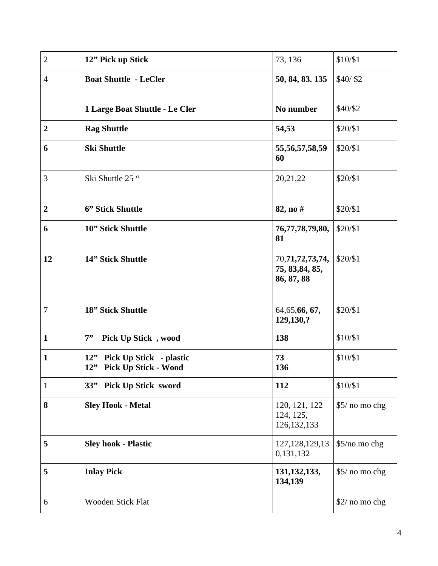| $\mathbf{2}$     | 12" Pick up Stick                                       | 73, 136                                          | \$10/\$1       |
|------------------|---------------------------------------------------------|--------------------------------------------------|----------------|
| $\overline{4}$   | <b>Boat Shuttle - LeCler</b>                            | 50, 84, 83. 135                                  | \$40/ \$2      |
|                  | 1 Large Boat Shuttle - Le Cler                          | No number                                        | \$40/\$2       |
| $\boldsymbol{2}$ | <b>Rag Shuttle</b>                                      | 54,53                                            | \$20/\$1       |
| 6                | <b>Ski Shuttle</b>                                      | 55, 56, 57, 58, 59<br>60                         | \$20/\$1       |
| 3                | Ski Shuttle 25 "                                        | 20,21,22                                         | \$20/\$1       |
| $\overline{2}$   | 6" Stick Shuttle                                        | 82, no #                                         | \$20/\$1       |
| 6                | 10" Stick Shuttle                                       | 76, 77, 78, 79, 80,<br>81                        | \$20/\$1       |
| 12               | 14" Stick Shuttle                                       | 70,71,72,73,74,<br>75, 83, 84, 85,<br>86, 87, 88 | \$20/\$1       |
| 7                | 18" Stick Shuttle                                       | 64, 65, 66, 67,<br>129,130,?                     | \$20/\$1       |
| $\mathbf{1}$     | 7"<br>Pick Up Stick, wood                               | 138                                              | \$10/\$1       |
| $\mathbf{1}$     | 12" Pick Up Stick - plastic<br>12" Pick Up Stick - Wood | 73<br>136                                        | \$10/\$1       |
| $\mathbf{1}$     | 33" Pick Up Stick sword                                 | 112                                              | \$10/\$1       |
| 8                | <b>Sley Hook - Metal</b>                                | 120, 121, 122<br>124, 125,<br>126, 132, 133      | \$5/ no mo chg |
| 5                | <b>Sley hook - Plastic</b>                              | 127, 128, 129, 13<br>0,131,132                   | \$5/no mo chg  |
| 5                | <b>Inlay Pick</b>                                       | 131, 132, 133,<br>134,139                        | \$5/ no mo chg |
| 6                | Wooden Stick Flat                                       |                                                  | \$2/ no mo chg |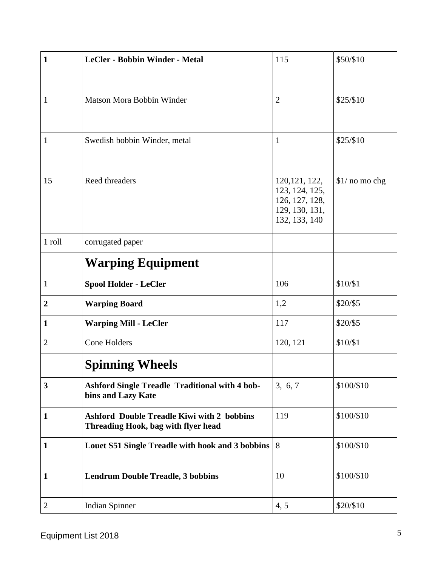| $\mathbf{1}$     | <b>LeCler - Bobbin Winder - Metal</b>                                                    | 115                                                                                   | \$50/\$10       |
|------------------|------------------------------------------------------------------------------------------|---------------------------------------------------------------------------------------|-----------------|
|                  |                                                                                          |                                                                                       |                 |
| 1                | Matson Mora Bobbin Winder                                                                | $\overline{2}$                                                                        | \$25/\$10       |
|                  |                                                                                          |                                                                                       |                 |
| 1                | Swedish bobbin Winder, metal                                                             | $\mathbf{1}$                                                                          | \$25/\$10       |
|                  |                                                                                          |                                                                                       |                 |
| 15               | Reed threaders                                                                           | 120, 121, 122,<br>123, 124, 125,<br>126, 127, 128,<br>129, 130, 131,<br>132, 133, 140 | $$1/$ no mo chg |
| 1 roll           | corrugated paper                                                                         |                                                                                       |                 |
|                  | <b>Warping Equipment</b>                                                                 |                                                                                       |                 |
| $\mathbf{1}$     | <b>Spool Holder - LeCler</b>                                                             | 106                                                                                   | \$10/\$1        |
| $\boldsymbol{2}$ | <b>Warping Board</b>                                                                     | 1,2                                                                                   | \$20/\$5        |
| 1                | <b>Warping Mill - LeCler</b>                                                             | 117                                                                                   | \$20/\$5        |
| $\overline{2}$   | Cone Holders                                                                             | 120, 121                                                                              | \$10/\$1        |
|                  | <b>Spinning Wheels</b>                                                                   |                                                                                       |                 |
| $\mathbf{3}$     | <b>Ashford Single Treadle Traditional with 4 bob-</b><br>bins and Lazy Kate              | 3, 6, 7                                                                               | \$100/\$10      |
| $\mathbf{1}$     | <b>Ashford Double Treadle Kiwi with 2 bobbins</b><br>Threading Hook, bag with flyer head | 119                                                                                   | \$100/\$10      |
| $\mathbf{1}$     | Louet S51 Single Treadle with hook and 3 bobbins                                         | 8                                                                                     | \$100/\$10      |
| 1                | <b>Lendrum Double Treadle, 3 bobbins</b>                                                 | 10                                                                                    | \$100/\$10      |
| $\overline{2}$   | <b>Indian Spinner</b>                                                                    | 4, 5                                                                                  | \$20/\$10       |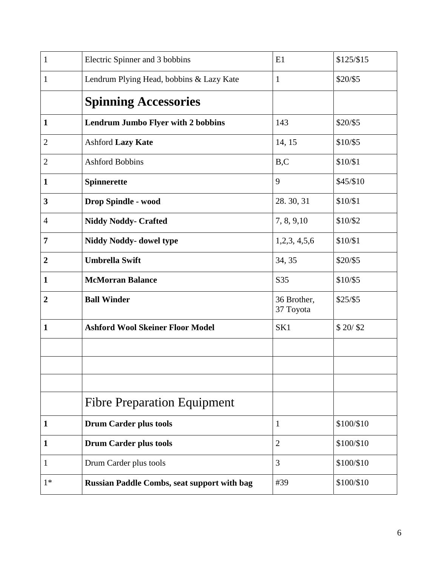| $\mathbf{1}$     | Electric Spinner and 3 bobbins                     | E1                       | \$125/\$15 |
|------------------|----------------------------------------------------|--------------------------|------------|
| 1                | Lendrum Plying Head, bobbins & Lazy Kate           | $\mathbf{1}$             | \$20/\$5   |
|                  | <b>Spinning Accessories</b>                        |                          |            |
| $\mathbf{1}$     | <b>Lendrum Jumbo Flyer with 2 bobbins</b>          | 143                      | \$20/\$5   |
| $\overline{c}$   | <b>Ashford Lazy Kate</b>                           | 14, 15                   | \$10/\$5   |
| $\overline{2}$   | <b>Ashford Bobbins</b>                             | B, C                     | \$10/\$1   |
| 1                | Spinnerette                                        | 9                        | \$45/\$10  |
| 3                | <b>Drop Spindle - wood</b>                         | 28.30, 31                | \$10/\$1   |
| $\overline{4}$   | <b>Niddy Noddy- Crafted</b>                        | 7, 8, 9, 10              | \$10/\$2   |
| 7                | <b>Niddy Noddy- dowel type</b>                     | 1,2,3,4,5,6              | \$10/\$1   |
| $\boldsymbol{2}$ | <b>Umbrella Swift</b>                              | 34, 35                   | \$20/\$5   |
| 1                | <b>McMorran Balance</b>                            | S35                      | \$10/\$5   |
| $\boldsymbol{2}$ | <b>Ball Winder</b>                                 | 36 Brother,<br>37 Toyota | $$25/$ \$5 |
| 1                | <b>Ashford Wool Skeiner Floor Model</b>            | SK1                      | \$20/ \$2  |
|                  |                                                    |                          |            |
|                  |                                                    |                          |            |
|                  |                                                    |                          |            |
|                  | <b>Fibre Preparation Equipment</b>                 |                          |            |
| 1                | <b>Drum Carder plus tools</b>                      | $\mathbf{1}$             | \$100/\$10 |
| 1                | <b>Drum Carder plus tools</b>                      | $\overline{2}$           | \$100/\$10 |
| 1                | Drum Carder plus tools                             | 3                        | \$100/\$10 |
| $1*$             | <b>Russian Paddle Combs, seat support with bag</b> | #39                      | \$100/\$10 |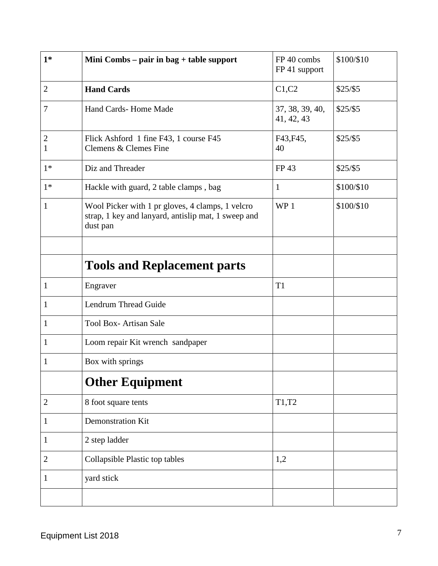| $1*$                | Mini Combs – pair in bag + table support                                                                            | FP 40 combs<br>FP 41 support  | \$100/\$10 |
|---------------------|---------------------------------------------------------------------------------------------------------------------|-------------------------------|------------|
| $\overline{2}$      | <b>Hand Cards</b>                                                                                                   | C1, C2                        | $$25/$ \$5 |
| 7                   | Hand Cards-Home Made                                                                                                | 37, 38, 39, 40,<br>41, 42, 43 | $$25/$ \$5 |
| $\overline{2}$<br>1 | Flick Ashford 1 fine F43, 1 course F45<br>Clemens & Clemes Fine                                                     | F43, F45,<br>40               | $$25/$ \$5 |
| $1*$                | Diz and Threader                                                                                                    | FP 43                         | $$25/$ \$5 |
| $1*$                | Hackle with guard, 2 table clamps, bag                                                                              | $\mathbf{1}$                  | \$100/\$10 |
| 1                   | Wool Picker with 1 pr gloves, 4 clamps, 1 velcro<br>strap, 1 key and lanyard, antislip mat, 1 sweep and<br>dust pan | WP <sub>1</sub>               | \$100/\$10 |
|                     |                                                                                                                     |                               |            |
|                     | <b>Tools and Replacement parts</b>                                                                                  |                               |            |
| 1                   | Engraver                                                                                                            | T <sub>1</sub>                |            |
| 1                   | <b>Lendrum Thread Guide</b>                                                                                         |                               |            |
| 1                   | <b>Tool Box-Artisan Sale</b>                                                                                        |                               |            |
| $\mathbf{1}$        | Loom repair Kit wrench sandpaper                                                                                    |                               |            |
| 1                   | Box with springs                                                                                                    |                               |            |
|                     | <b>Other Equipment</b>                                                                                              |                               |            |
| $\mathbf{2}$        | 8 foot square tents                                                                                                 | T1,T2                         |            |
| 1                   | Demonstration Kit                                                                                                   |                               |            |
| 1                   | 2 step ladder                                                                                                       |                               |            |
| 2                   | Collapsible Plastic top tables                                                                                      | 1,2                           |            |
| 1                   | yard stick                                                                                                          |                               |            |
|                     |                                                                                                                     |                               |            |